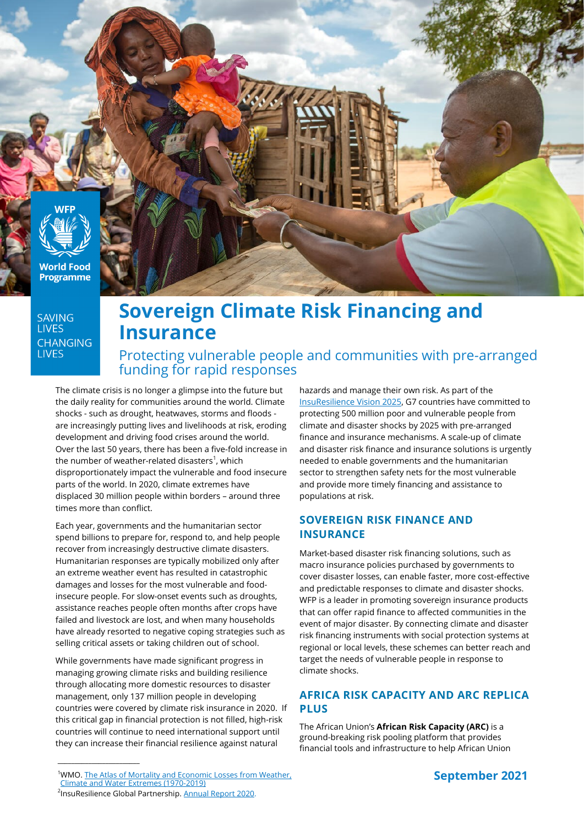

**World Food Programme** 

**SAVING LIVES CHANGING LIVES** 

# **Sovereign Climate Risk Financing and Insurance**

Protecting vulnerable people and communities with pre-arranged funding for rapid responses

The climate crisis is no longer a glimpse into the future but the daily reality for communities around the world. Climate shocks - such as drought, heatwaves, storms and floods are increasingly putting lives and livelihoods at risk, eroding development and driving food crises around the world. Over the last 50 years, there has been a five-fold increase in the number of weather-related disasters<sup>1</sup>, which disproportionately impact the vulnerable and food insecure parts of the world. In 2020, climate extremes have displaced 30 million people within borders – around three times more than conflict.

Each year, governments and the humanitarian sector spend billions to prepare for, respond to, and help people recover from increasingly destructive climate disasters. Humanitarian responses are typically mobilized only after an extreme weather event has resulted in catastrophic damages and losses for the most vulnerable and foodinsecure people. For slow-onset events such as droughts, assistance reaches people often months after crops have failed and livestock are lost, and when many households have already resorted to negative coping strategies such as selling critical assets or taking children out of school.

While governments have made significant progress in managing growing climate risks and building resilience through allocating more domestic resources to disaster management, only 137 million people in developing countries were covered by climate risk insurance in 2020. If this critical gap in financial protection is not filled, high-risk countries will continue to need international support until they can increase their financial resilience against natural

hazards and manage their own risk. As part of the [InsuResilience Vision 2025,](https://www.insuresilience.org/wp-content/uploads/2019/09/InsuResilience-Global-Partnership_Vision-2025-with-Workplan1.pdf) G7 countries have committed to protecting 500 million poor and vulnerable people from climate and disaster shocks by 2025 with pre-arranged finance and insurance mechanisms. A scale-up of climate and disaster risk finance and insurance solutions is urgently needed to enable governments and the humanitarian sector to strengthen safety nets for the most vulnerable and provide more timely financing and assistance to populations at risk.

# **SOVEREIGN RISK FINANCE AND INSURANCE**

Market-based disaster risk financing solutions, such as macro insurance policies purchased by governments to cover disaster losses, can enable faster, more cost-effective and predictable responses to climate and disaster shocks. WFP is a leader in promoting sovereign insurance products that can offer rapid finance to affected communities in the event of major disaster. By connecting climate and disaster risk financing instruments with social protection systems at regional or local levels, these schemes can better reach and target the needs of vulnerable people in response to climate shocks.

# **AFRICA RISK CAPACITY AND ARC REPLICA PLUS**

The African Union's **African Risk Capacity (ARC)** is a ground-breaking risk pooling platform that provides financial tools and infrastructure to help African Union



\_\_\_\_\_\_\_\_\_\_\_\_\_\_\_\_\_\_\_\_\_\_\_\_

<sup>&</sup>lt;sup>1</sup>WMO. <u>The Atlas of Mortality and Economic Losses from Weather,</u> [Climate and Water Extremes \(1970](https://library.wmo.int/doc_num.php?explnum_id=10769)-2019)

<sup>&</sup>lt;sup>2</sup>InsuResilience Global Partnership. [Annual Report 2020.](https://annualreport.insuresilience.org/)